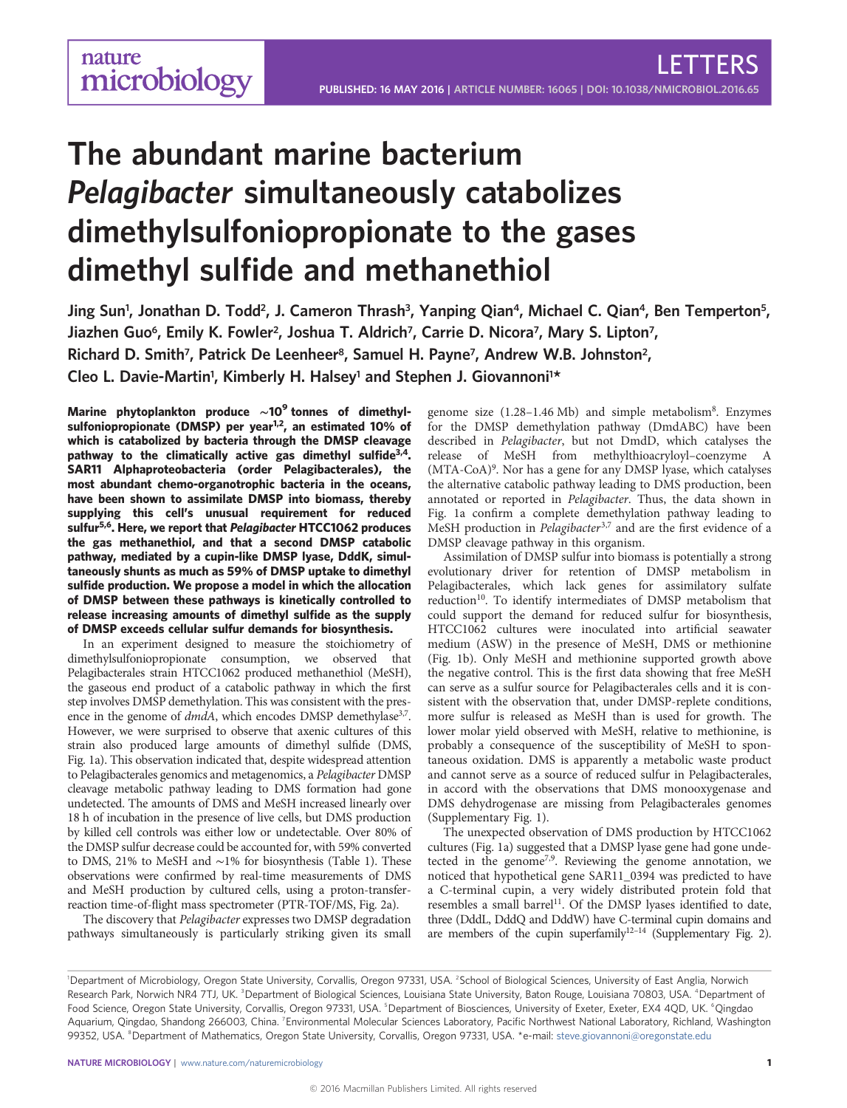LETTERS

# The abundant marine bacterium Pelagibacter simultaneously catabolizes dimethylsulfoniopropionate to the gases dimethyl sulfide and methanethiol

Jing Sun<sup>1</sup>, Jonathan D. Todd<sup>2</sup>, J. Cameron Thrash<sup>3</sup>, Yanping Qian<sup>4</sup>, Michael C. Qian<sup>4</sup>, Ben Temperton<sup>5</sup>, Jiazhen Guo<sup>6</sup>, Emily K. Fowler<sup>2</sup>, Joshua T. Aldrich<sup>7</sup>, Carrie D. Nicora<sup>7</sup>, Mary S. Lipton<sup>7</sup>, Richard D. Smith<sup>7</sup>, Patrick De Leenheer<sup>8</sup>, Samuel H. Payne<sup>7</sup>, Andrew W.B. Johnston<sup>2</sup>, Cleo L. Davie-Martin<sup>1</sup>, Kimberly H. Halsey<sup>1</sup> and Stephen J. Giovannoni<sup>1\*</sup>

Marine phytoplankton produce ~10<sup>9</sup> tonnes of dimethylsulfoniopropionate (DMSP) per year<sup>1,2</sup>, an estimated 10% of which is catabolized by bacteria through the DMSP cleavage pathway to the climatically active gas dimethyl sulfide $3,4$  $3,4$ . SAR11 Alphaproteobacteria (order Pelagibacterales), the most abundant chemo-organotrophic bacteria in the oceans, have been shown to assimilate DMSP into biomass, thereby supplying this cell's unusual requirement for reduced sulfur<sup>5,6</sup>. Here, we report that Pelagibacter HTCC1062 produces the gas methanethiol, and that a second DMSP catabolic pathway, mediated by a cupin-like DMSP lyase, DddK, simultaneously shunts as much as 59% of DMSP uptake to dimethyl sulfide production. We propose a model in which the allocation of DMSP between these pathways is kinetically controlled to release increasing amounts of dimethyl sulfide as the supply of DMSP exceeds cellular sulfur demands for biosynthesis.

In an experiment designed to measure the stoichiometry of dimethylsulfoniopropionate consumption, we observed that Pelagibacterales strain HTCC1062 produced methanethiol (MeSH), the gaseous end product of a catabolic pathway in which the first step involves DMSP demethylation. This was consistent with the presence in the genome of *dmdA*, which encodes DMSP demethylase<sup>3,7</sup>. However, we were surprised to observe that axenic cultures of this strain also produced large amounts of dimethyl sulfide (DMS, [Fig. 1a\)](#page-1-0). This observation indicated that, despite widespread attention to Pelagibacterales genomics and metagenomics, a Pelagibacter DMSP cleavage metabolic pathway leading to DMS formation had gone undetected. The amounts of DMS and MeSH increased linearly over 18 h of incubation in the presence of live cells, but DMS production by killed cell controls was either low or undetectable. Over 80% of the DMSP sulfur decrease could be accounted for, with 59% converted to DMS, 21% to MeSH and ∼1% for biosynthesis ([Table 1](#page-1-0)). These observations were confirmed by real-time measurements of DMS and MeSH production by cultured cells, using a proton-transferreaction time-of-flight mass spectrometer (PTR-TOF/MS, [Fig. 2a](#page-2-0)).

The discovery that Pelagibacter expresses two DMSP degradation pathways simultaneously is particularly striking given its small

genome size (1.2[8](#page-4-0)-1.46 Mb) and simple metabolism<sup>8</sup>. Enzymes for the DMSP demethylation pathway (DmdABC) have been described in Pelagibacter, but not DmdD, which catalyses the release of MeSH from methylthioacryloyl–coenzyme A (MTA-CoA)<sup>[9](#page-4-0)</sup>. Nor has a gene for any DMSP lyase, which catalyses the alternative catabolic pathway leading to DMS production, been annotated or reported in Pelagibacter. Thus, the data shown in [Fig. 1a](#page-1-0) confirm a complete demethylation pathway leading to MeSH production in *Pelagibacter*<sup>[3,7](#page-4-0)</sup> and are the first evidence of a DMSP cleavage pathway in this organism.

Assimilation of DMSP sulfur into biomass is potentially a strong evolutionary driver for retention of DMSP metabolism in Pelagibacterales, which lack genes for assimilatory sulfate reduction<sup>10</sup>. To identify intermediates of DMSP metabolism that could support the demand for reduced sulfur for biosynthesis, HTCC1062 cultures were inoculated into artificial seawater medium (ASW) in the presence of MeSH, DMS or methionine [\(Fig. 1b](#page-1-0)). Only MeSH and methionine supported growth above the negative control. This is the first data showing that free MeSH can serve as a sulfur source for Pelagibacterales cells and it is consistent with the observation that, under DMSP-replete conditions, more sulfur is released as MeSH than is used for growth. The lower molar yield observed with MeSH, relative to methionine, is probably a consequence of the susceptibility of MeSH to spontaneous oxidation. DMS is apparently a metabolic waste product and cannot serve as a source of reduced sulfur in Pelagibacterales, in accord with the observations that DMS monooxygenase and DMS dehydrogenase are missing from Pelagibacterales genomes (Supplementary Fig. 1).

The unexpected observation of DMS production by HTCC1062 cultures ([Fig. 1a\)](#page-1-0) suggested that a DMSP lyase gene had gone unde-tected in the genome<sup>[7,9](#page-4-0)</sup>. Reviewing the genome annotation, we noticed that hypothetical gene SAR11\_0394 was predicted to have a C-terminal cupin, a very widely distributed protein fold that resembles a small barrel<sup>11</sup>. Of the DMSP lyases identified to date, three (DddL, DddQ and DddW) have C-terminal cupin domains and are members of the cupin superfamily $12-14$  (Supplementary Fig. 2).

<sup>&</sup>lt;sup>1</sup>Department of Microbiology, Oregon State University, Corvallis, Oregon 97331, USA. <sup>2</sup>School of Biological Sciences, University of East Anglia, Norwich Research Park, Norwich NR4 7TJ, UK.<sup>3</sup>Department of Biological Sciences, Louisiana State University, Baton Rouge, Louisiana 70803, USA. <sup>4</sup>Department of Food Science, Oregon State University, Corvallis, Oregon 97331, USA. <sup>5</sup>Department of Biosciences, University of Exeter, Exeter, EX4 4QD, UK. <sup>6</sup>Qingdao Aquarium, Qingdao, Shandong 266003, China. <sup>7</sup>Environmental Molecular Sciences Laboratory, Pacific Northwest National Laboratory, Richland, Washington 99352, USA. <sup>8</sup>Department of Mathematics, Oregon State University, Corvallis, Oregon 97331, USA. \*e-mail: [steve.giovannoni@oregonstate.edu](mailto:steve.giovannoni@oregonstate.edu)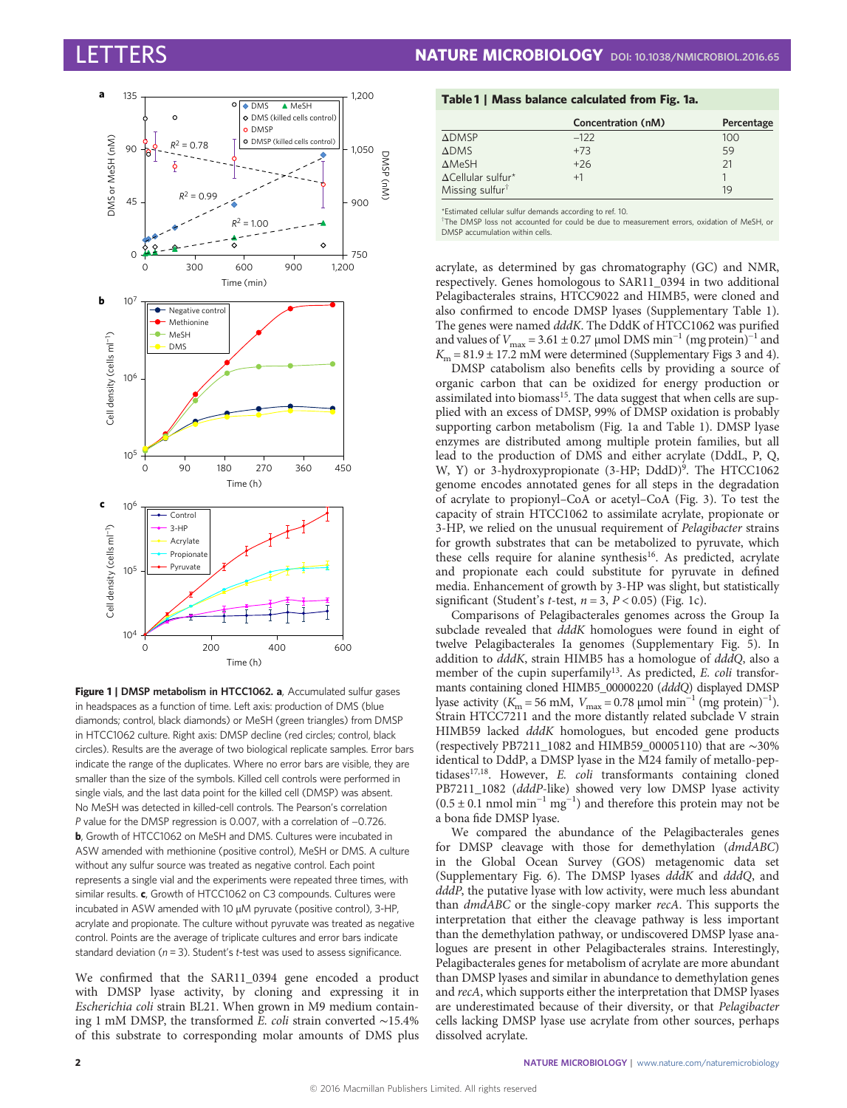<span id="page-1-0"></span>

Figure 1 | DMSP metabolism in HTCC1062. a, Accumulated sulfur gases in headspaces as a function of time. Left axis: production of DMS (blue diamonds; control, black diamonds) or MeSH (green triangles) from DMSP in HTCC1062 culture. Right axis: DMSP decline (red circles; control, black circles). Results are the average of two biological replicate samples. Error bars indicate the range of the duplicates. Where no error bars are visible, they are smaller than the size of the symbols. Killed cell controls were performed in single vials, and the last data point for the killed cell (DMSP) was absent. No MeSH was detected in killed-cell controls. The Pearson's correlation P value for the DMSP regression is 0.007, with a correlation of −0.726. b, Growth of HTCC1062 on MeSH and DMS. Cultures were incubated in ASW amended with methionine (positive control), MeSH or DMS. A culture without any sulfur source was treated as negative control. Each point represents a single vial and the experiments were repeated three times, with similar results. c, Growth of HTCC1062 on C3 compounds. Cultures were incubated in ASW amended with 10 µM pyruvate (positive control), 3-HP, acrylate and propionate. The culture without pyruvate was treated as negative control. Points are the average of triplicate cultures and error bars indicate standard deviation ( $n = 3$ ). Student's t-test was used to assess significance.

We confirmed that the SAR11\_0394 gene encoded a product with DMSP lyase activity, by cloning and expressing it in Escherichia coli strain BL21. When grown in M9 medium containing 1 mM DMSP, the transformed E. coli strain converted ∼15.4% of this substrate to corresponding molar amounts of DMS plus

# Table 1 | Mass balance calculated from Fig. 1a.

|                             | Concentration (nM) | Percentage |
|-----------------------------|--------------------|------------|
| $\triangle$ DMSP            | $-122$             | 100        |
| <b>ADMS</b>                 | $+73$              | 59         |
| $\triangle$ MeSH            | $+26$              | 21         |
| $\Delta$ Cellular sulfur*   | $+1$               |            |
| Missing sulfur <sup>†</sup> |                    | 19         |

\*Estimated cellular sulfur demands according to ref. [10.](#page-4-0)

† The DMSP loss not accounted for could be due to measurement errors, oxidation of MeSH, or DMSP accumulation within cells.

acrylate, as determined by gas chromatography (GC) and NMR, respectively. Genes homologous to SAR11\_0394 in two additional Pelagibacterales strains, HTCC9022 and HIMB5, were cloned and also confirmed to encode DMSP lyases (Supplementary Table 1). The genes were named dddK. The DddK of HTCC1062 was purified and values of  $V_{\text{max}}$  = 3.61 ± 0.27 µmol DMS min<sup>-1</sup> (mg protein)<sup>-1</sup> and  $K_m = 81.9 \pm 17.2$  mM were determined (Supplementary Figs 3 and 4).

DMSP catabolism also benefits cells by providing a source of organic carbon that can be oxidized for energy production or assimilated into biomass<sup>15</sup>. The data suggest that when cells are supplied with an excess of DMSP, 99% of DMSP oxidation is probably supporting carbon metabolism (Fig. 1a and Table 1). DMSP lyase enzymes are distributed among multiple protein families, but all lead to the production of DMS and either acrylate (DddL, P, Q, W, Y) or 3-hydroxypropionate (3-HP; DddD)<sup>9</sup>. The HTCC1062 genome encodes annotated genes for all steps in the degradation of acrylate to propionyl–CoA or acetyl–CoA [\(Fig. 3](#page-3-0)). To test the capacity of strain HTCC1062 to assimilate acrylate, propionate or 3-HP, we relied on the unusual requirement of Pelagibacter strains for growth substrates that can be metabolized to pyruvate, which these cells require for alanine synthesis<sup>[16](#page-4-0)</sup>. As predicted, acrylate and propionate each could substitute for pyruvate in defined media. Enhancement of growth by 3-HP was slight, but statistically significant (Student's *t*-test,  $n = 3$ ,  $P < 0.05$ ) (Fig. 1c).

Comparisons of Pelagibacterales genomes across the Group Ia subclade revealed that  $dddK$  homologues were found in eight of twelve Pelagibacterales Ia genomes (Supplementary Fig. 5). In addition to dddK, strain HIMB5 has a homologue of dddQ, also a member of the cupin superfamily<sup>[13](#page-4-0)</sup>. As predicted, *E. coli* transformants containing cloned HIMB5\_00000220 (dddQ) displayed DMSP lyase activity ( $K_{\text{m}} = 56 \text{ mM}$ ,  $V_{\text{max}} = 0.78 \text{ µmol} \text{ min}^{-1} \text{ (mg protein)}^{-1}$ ). Strain HTCC7211 and the more distantly related subclade V strain HIMB59 lacked dddK homologues, but encoded gene products (respectively PB7211\_1082 and HIMB59\_00005110) that are ∼30% identical to DddP, a DMSP lyase in the M24 family of metallo-peptidases $17,18$ . However, E. coli transformants containing cloned PB7211\_1082 (dddP-like) showed very low DMSP lyase activity  $(0.5 \pm 0.1 \text{ nmol min}^{-1} \text{ mg}^{-1})$  and therefore this protein may not be a bona fide DMSP lyase.

We compared the abundance of the Pelagibacterales genes for DMSP cleavage with those for demethylation (dmdABC) in the Global Ocean Survey (GOS) metagenomic data set (Supplementary Fig. 6). The DMSP lyases dddK and dddQ, and dddP, the putative lyase with low activity, were much less abundant than dmdABC or the single-copy marker recA. This supports the interpretation that either the cleavage pathway is less important than the demethylation pathway, or undiscovered DMSP lyase analogues are present in other Pelagibacterales strains. Interestingly, Pelagibacterales genes for metabolism of acrylate are more abundant than DMSP lyases and similar in abundance to demethylation genes and recA, which supports either the interpretation that DMSP lyases are underestimated because of their diversity, or that Pelagibacter cells lacking DMSP lyase use acrylate from other sources, perhaps dissolved acrylate.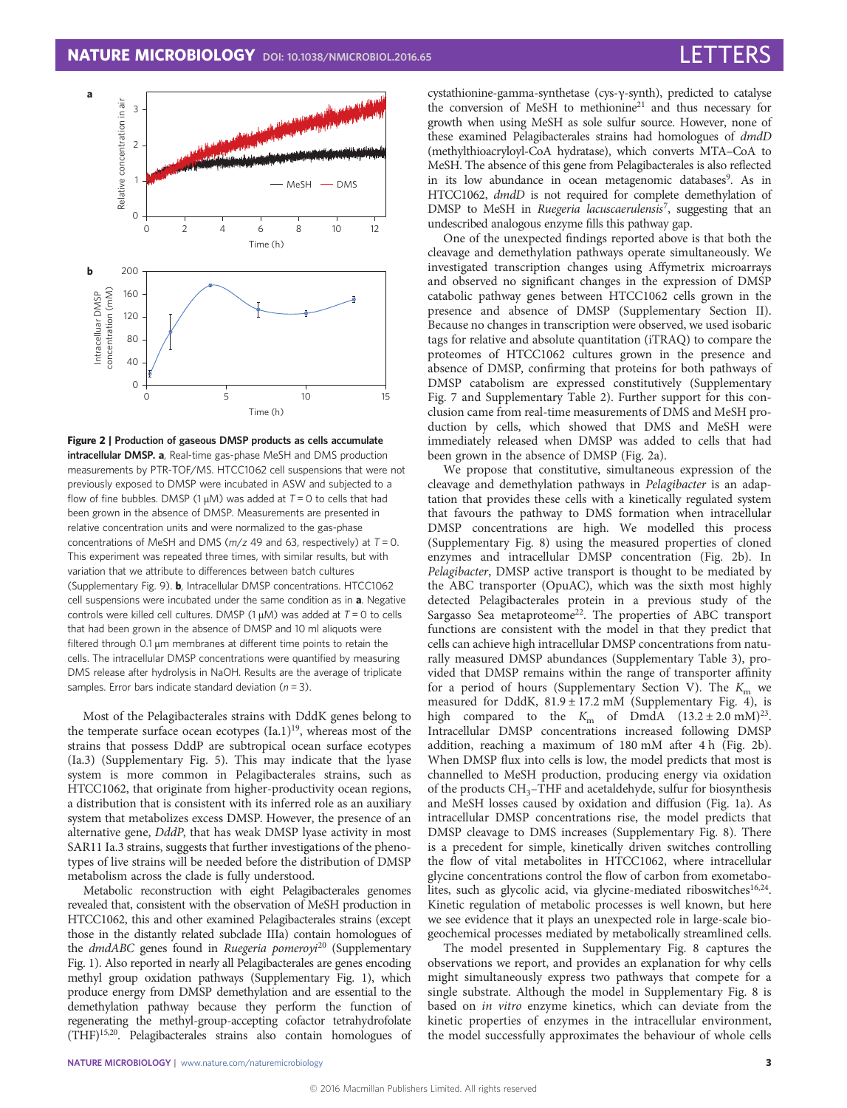<span id="page-2-0"></span>

Figure 2 | Production of gaseous DMSP products as cells accumulate intracellular DMSP. a, Real-time gas-phase MeSH and DMS production measurements by PTR-TOF/MS. HTCC1062 cell suspensions that were not previously exposed to DMSP were incubated in ASW and subjected to a flow of fine bubbles. DMSP (1  $\mu$ M) was added at  $T = 0$  to cells that had been grown in the absence of DMSP. Measurements are presented in relative concentration units and were normalized to the gas-phase concentrations of MeSH and DMS ( $m/z$  49 and 63, respectively) at  $T = 0$ . This experiment was repeated three times, with similar results, but with variation that we attribute to differences between batch cultures (Supplementary Fig. 9). b, Intracellular DMSP concentrations. HTCC1062 cell suspensions were incubated under the same condition as in a. Negative controls were killed cell cultures. DMSP (1  $\mu$ M) was added at T = 0 to cells that had been grown in the absence of DMSP and 10 ml aliquots were filtered through 0.1 µm membranes at different time points to retain the cells. The intracellular DMSP concentrations were quantified by measuring DMS release after hydrolysis in NaOH. Results are the average of triplicate samples. Error bars indicate standard deviation ( $n = 3$ ).

Most of the Pelagibacterales strains with DddK genes belong to the temperate surface ocean ecotypes  $(Ia.1)^{19}$ , whereas most of the strains that possess DddP are subtropical ocean surface ecotypes (Ia.3) (Supplementary Fig. 5). This may indicate that the lyase system is more common in Pelagibacterales strains, such as HTCC1062, that originate from higher-productivity ocean regions, a distribution that is consistent with its inferred role as an auxiliary system that metabolizes excess DMSP. However, the presence of an alternative gene, DddP, that has weak DMSP lyase activity in most SAR11 Ia.3 strains, suggests that further investigations of the phenotypes of live strains will be needed before the distribution of DMSP metabolism across the clade is fully understood.

Metabolic reconstruction with eight Pelagibacterales genomes revealed that, consistent with the observation of MeSH production in HTCC1062, this and other examined Pelagibacterales strains (except those in the distantly related subclade IIIa) contain homologues of the  $dmdABC$  genes found in Ruegeria pomeroyi<sup>[20](#page-4-0)</sup> (Supplementary Fig. 1). Also reported in nearly all Pelagibacterales are genes encoding methyl group oxidation pathways (Supplementary Fig. 1), which produce energy from DMSP demethylation and are essential to the demethylation pathway because they perform the function of regenerating the methyl-group-accepting cofactor tetrahydrofolate (THF[\)15,20](#page-4-0). Pelagibacterales strains also contain homologues of cystathionine-gamma-synthetase (cys-γ-synth), predicted to catalyse the conversion of MeSH to methionine<sup>[21](#page-4-0)</sup> and thus necessary for growth when using MeSH as sole sulfur source. However, none of these examined Pelagibacterales strains had homologues of dmdD (methylthioacryloyl-CoA hydratase), which converts MTA–CoA to MeSH. The absence of this gene from Pelagibacterales is also reflected in its low abundance in ocean metagenomic databases<sup>9</sup>. As in HTCC1062,  $dmdD$  is not required for complete demethylation of DMSP to MeSH in Ruegeria lacuscaerulensis<sup>[7](#page-4-0)</sup>, suggesting that an undescribed analogous enzyme fills this pathway gap.

One of the unexpected findings reported above is that both the cleavage and demethylation pathways operate simultaneously. We investigated transcription changes using Affymetrix microarrays and observed no significant changes in the expression of DMSP catabolic pathway genes between HTCC1062 cells grown in the presence and absence of DMSP (Supplementary Section II). Because no changes in transcription were observed, we used isobaric tags for relative and absolute quantitation (iTRAQ) to compare the proteomes of HTCC1062 cultures grown in the presence and absence of DMSP, confirming that proteins for both pathways of DMSP catabolism are expressed constitutively (Supplementary Fig. 7 and Supplementary Table 2). Further support for this conclusion came from real-time measurements of DMS and MeSH production by cells, which showed that DMS and MeSH were immediately released when DMSP was added to cells that had been grown in the absence of DMSP (Fig. 2a).

We propose that constitutive, simultaneous expression of the cleavage and demethylation pathways in Pelagibacter is an adaptation that provides these cells with a kinetically regulated system that favours the pathway to DMS formation when intracellular DMSP concentrations are high. We modelled this process (Supplementary Fig. 8) using the measured properties of cloned enzymes and intracellular DMSP concentration (Fig. 2b). In Pelagibacter, DMSP active transport is thought to be mediated by the ABC transporter (OpuAC), which was the sixth most highly detected Pelagibacterales protein in a previous study of the Sargasso Sea metaproteome<sup>22</sup>. The properties of ABC transport functions are consistent with the model in that they predict that cells can achieve high intracellular DMSP concentrations from naturally measured DMSP abundances (Supplementary Table 3), provided that DMSP remains within the range of transporter affinity for a period of hours (Supplementary Section V). The  $K<sub>m</sub>$  we measured for DddK,  $81.9 \pm 17.2$  mM (Supplementary Fig. 4), is high compared to the  $K_{\text{m}}$  of DmdA  $(13.2 \pm 2.0 \text{ mM})^{23}$  $(13.2 \pm 2.0 \text{ mM})^{23}$  $(13.2 \pm 2.0 \text{ mM})^{23}$ . Intracellular DMSP concentrations increased following DMSP addition, reaching a maximum of 180 mM after 4 h (Fig. 2b). When DMSP flux into cells is low, the model predicts that most is channelled to MeSH production, producing energy via oxidation of the products CH<sub>3</sub>-THF and acetaldehyde, sulfur for biosynthesis and MeSH losses caused by oxidation and diffusion [\(Fig. 1a\)](#page-1-0). As intracellular DMSP concentrations rise, the model predicts that DMSP cleavage to DMS increases (Supplementary Fig. 8). There is a precedent for simple, kinetically driven switches controlling the flow of vital metabolites in HTCC1062, where intracellular glycine concentrations control the flow of carbon from exometabo-lites, such as glycolic acid, via glycine-mediated riboswitches<sup>[16,24](#page-4-0)</sup>. Kinetic regulation of metabolic processes is well known, but here we see evidence that it plays an unexpected role in large-scale biogeochemical processes mediated by metabolically streamlined cells.

The model presented in Supplementary Fig. 8 captures the observations we report, and provides an explanation for why cells might simultaneously express two pathways that compete for a single substrate. Although the model in Supplementary Fig. 8 is based on in vitro enzyme kinetics, which can deviate from the kinetic properties of enzymes in the intracellular environment, the model successfully approximates the behaviour of whole cells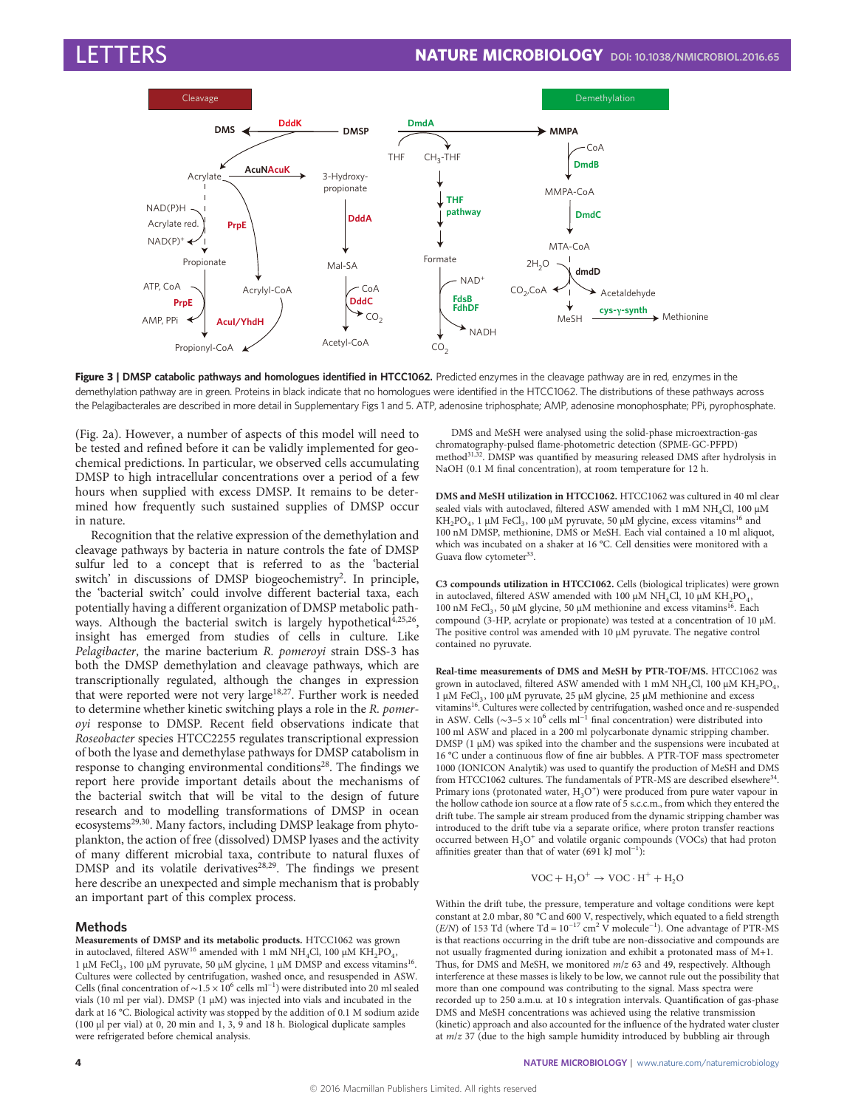<span id="page-3-0"></span>

Figure 3 | DMSP catabolic pathways and homologues identified in HTCC1062. Predicted enzymes in the cleavage pathway are in red, enzymes in the demethylation pathway are in green. Proteins in black indicate that no homologues were identified in the HTCC1062. The distributions of these pathways across the Pelagibacterales are described in more detail in Supplementary Figs 1 and 5. ATP, adenosine triphosphate; AMP, adenosine monophosphate; PPi, pyrophosphate.

([Fig. 2a\)](#page-2-0). However, a number of aspects of this model will need to be tested and refined before it can be validly implemented for geochemical predictions. In particular, we observed cells accumulating DMSP to high intracellular concentrations over a period of a few hours when supplied with excess DMSP. It remains to be determined how frequently such sustained supplies of DMSP occur in nature.

Recognition that the relative expression of the demethylation and cleavage pathways by bacteria in nature controls the fate of DMSP sulfur led to a concept that is referred to as the 'bacterial switch' in discussions of DMSP biogeochemistry<sup>[2](#page-4-0)</sup>. In principle, the 'bacterial switch' could involve different bacterial taxa, each potentially having a different organization of DMSP metabolic pathways. Although the bacterial switch is largely hypothetical $4,25,26$  $4,25,26$ , insight has emerged from studies of cells in culture. Like Pelagibacter, the marine bacterium R. pomeroyi strain DSS-3 has both the DMSP demethylation and cleavage pathways, which are transcriptionally regulated, although the changes in expression that were reported were not very large<sup>[18,27](#page-4-0)</sup>. Further work is needed to determine whether kinetic switching plays a role in the R. pomeroyi response to DMSP. Recent field observations indicate that Roseobacter species HTCC2255 regulates transcriptional expression of both the lyase and demethylase pathways for DMSP catabolism in response to changing environmental conditions<sup>28</sup>. The findings we report here provide important details about the mechanisms of the bacterial switch that will be vital to the design of future research and to modelling transformations of DMSP in ocean ecosystems<sup>29,30</sup>. Many factors, including DMSP leakage from phytoplankton, the action of free (dissolved) DMSP lyases and the activity of many different microbial taxa, contribute to natural fluxes of  $DMSP$  and its volatile derivatives<sup>[28,29](#page-4-0)</sup>. The findings we present here describe an unexpected and simple mechanism that is probably an important part of this complex process.

## Methods

Measurements of DMSP and its metabolic products. HTCC1062 was grown in autoclaved, filtered ASW<sup>[16](#page-4-0)</sup> amended with 1 mM NH<sub>4</sub>Cl, 100 µM KH<sub>2</sub>PO<sub>4</sub>, 1 µM FeCl<sub>3</sub>, 100 µM pyruvate, 50 µM glycine, 1 µM DMSP and excess vitamins<sup>16</sup>. Cultures were collected by centrifugation, washed once, and resuspended in ASW. Cells (final concentration of ∼1.5 × 106 cells ml−<sup>1</sup> ) were distributed into 20 ml sealed vials (10 ml per vial). DMSP (1 µM) was injected into vials and incubated in the dark at 16 °C. Biological activity was stopped by the addition of 0.1 M sodium azide (100 µl per vial) at 0, 20 min and 1, 3, 9 and 18 h. Biological duplicate samples were refrigerated before chemical analysis.

DMS and MeSH were analysed using the solid-phase microextraction-gas chromatography-pulsed flame-photometric detection (SPME-GC-PFPD) method<sup>31,32</sup>. DMSP was quantified by measuring released DMS after hydrolysis in NaOH (0.1 M final concentration), at room temperature for 12 h.

DMS and MeSH utilization in HTCC1062. HTCC1062 was cultured in 40 ml clear sealed vials with autoclaved, filtered ASW amended with 1 mM NH<sub>4</sub>Cl, 100  $\mu$ M KH<sub>2</sub>PO<sub>4</sub>, 1 µM FeCl<sub>3</sub>, 100 µM pyruvate, 50 µM glycine, excess vitamins<sup>16</sup> and 100 nM DMSP, methionine, DMS or MeSH. Each vial contained a 10 ml aliquot, which was incubated on a shaker at 16 °C. Cell densities were monitored with a Guava flow cytometer<sup>33</sup>.

C3 compounds utilization in HTCC1062. Cells (biological triplicates) were grown in autoclaved, filtered ASW amended with 100  $\upmu\text{M}$  NH<sub>4</sub>Cl, 10  $\upmu\text{M}$  KH<sub>2</sub>PO<sub>4</sub>, 100 nM FeCl<sub>3</sub>, 50 µM glycine, 50 µM methionine and excess vitamins<sup>16</sup>. Each compound (3-HP, acrylate or propionate) was tested at a concentration of 10 µM. The positive control was amended with 10  $\mu$ M pyruvate. The negative control contained no pyruvate.

Real-time measurements of DMS and MeSH by PTR-TOF/MS. HTCC1062 was grown in autoclaved, filtered ASW amended with 1 mM NH<sub>4</sub>Cl, 100  $\mu$ M KH<sub>2</sub>PO<sub>4</sub>,  $1~\upmu\textrm{M}$  FeCl<sub>3</sub>, 100  $\upmu\textrm{M}$  pyruvate, 25  $\upmu\textrm{M}$  glycine, 25  $\upmu\textrm{M}$  methionine and excess vitamins<sup>[16](#page-4-0)</sup>. Cultures were collected by centrifugation, washed once and re-suspended in ASW. Cells ( $\sim$ 3–5 × 10<sup>6</sup> cells ml<sup>-1</sup> final concentration) were distributed into 100 ml ASW and placed in a 200 ml polycarbonate dynamic stripping chamber. DMSP (1  $\mu$ M) was spiked into the chamber and the suspensions were incubated at 16 °C under a continuous flow of fine air bubbles. A PTR-TOF mass spectrometer 1000 (IONICON Analytik) was used to quantify the production of MeSH and DMS from HTCC1062 cultures. The fundamentals of PTR-MS are described elsewhere<sup>[34](#page-4-0)</sup>. Primary ions (protonated water,  $H_3O^+$ ) were produced from pure water vapour in the hollow cathode ion source at a flow rate of 5 s.c.c.m., from which they entered the drift tube. The sample air stream produced from the dynamic stripping chamber was introduced to the drift tube via a separate orifice, where proton transfer reactions occurred between  $H_3O^+$  and volatile organic compounds (VOCs) that had proton affinities greater than that of water (691 kJ mol<sup>-1</sup>):

$$
VOC + H_3O^+ \rightarrow VOC \cdot H^+ + H_2O
$$

Within the drift tube, the pressure, temperature and voltage conditions were kept constant at 2.0 mbar, 80 °C and 600 V, respectively, which equated to a field strength (E/N) of 153 Td (where Td =  $10^{-17}$  cm<sup>2</sup> V molecule<sup>-1</sup>). One advantage of PTR-MS is that reactions occurring in the drift tube are non-dissociative and compounds are not usually fragmented during ionization and exhibit a protonated mass of M+1. Thus, for DMS and MeSH, we monitored m/z 63 and 49, respectively. Although interference at these masses is likely to be low, we cannot rule out the possibility that more than one compound was contributing to the signal. Mass spectra were recorded up to 250 a.m.u. at 10 s integration intervals. Quantification of gas-phase DMS and MeSH concentrations was achieved using the relative transmission (kinetic) approach and also accounted for the influence of the hydrated water cluster at  $m/z$  37 (due to the high sample humidity introduced by bubbling air through